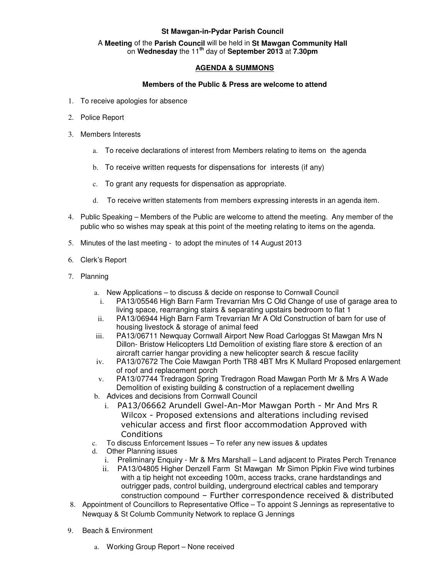## **St Mawgan-in-Pydar Parish Council**

## A **Meeting** of the **Parish Council** will be held in **St Mawgan Community Hall** on **Wednesday** the 11**th** day of **September 2013** at **7.30pm**

## **AGENDA & SUMMONS**

## **Members of the Public & Press are welcome to attend**

- 1. To receive apologies for absence
- 2. Police Report
- 3. Members Interests
	- a. To receive declarations of interest from Members relating to items on the agenda
	- b. To receive written requests for dispensations for interests (if any)
	- c. To grant any requests for dispensation as appropriate.
	- d. To receive written statements from members expressing interests in an agenda item.
- 4. Public Speaking Members of the Public are welcome to attend the meeting. Any member of the public who so wishes may speak at this point of the meeting relating to items on the agenda.
- 5. Minutes of the last meeting to adopt the minutes of 14 August 2013
- 6. Clerk's Report
- 7. Planning
	- a. New Applications to discuss & decide on response to Cornwall Council
		- i. PA13/05546 High Barn Farm Trevarrian Mrs C Old Change of use of garage area to living space, rearranging stairs & separating upstairs bedroom to flat 1
	- ii. PA13/06944 High Barn Farm Trevarrian Mr A Old Construction of barn for use of housing livestock & storage of animal feed
	- iii. PA13/06711 Newquay Cornwall Airport New Road Carloggas St Mawgan Mrs N Dillon- Bristow Helicopters Ltd Demolition of existing flare store & erection of an aircraft carrier hangar providing a new helicopter search & rescue facility
	- iv. PA13/07672 The Coie Mawgan Porth TR8 4BT Mrs K Mullard Proposed enlargement of roof and replacement porch
	- v. PA13/07744 Tredragon Spring Tredragon Road Mawgan Porth Mr & Mrs A Wade Demolition of existing building & construction of a replacement dwelling
	- b. Advices and decisions from Cornwall Council
		- i. PA13/06662 Arundell Gwel-An-Mor Mawgan Porth Mr And Mrs R Wilcox - Proposed extensions and alterations including revised vehicular access and first floor accommodation Approved with **Conditions**
	- c. To discuss Enforcement Issues To refer any new issues & updates
	- d. Other Planning issues
		- i. Preliminary Enquiry Mr & Mrs Marshall Land adjacent to Pirates Perch Trenance
		- ii. PA13/04805 Higher Denzell Farm St Mawgan Mr Simon Pipkin Five wind turbines with a tip height not exceeding 100m, access tracks, crane hardstandings and outrigger pads, control building, underground electrical cables and temporary construction compound – Further correspondence received & distributed
- 8. Appointment of Councillors to Representative Office To appoint S Jennings as representative to Newquay & St Columb Community Network to replace G Jennings
- 9. Beach & Environment
	- a. Working Group Report None received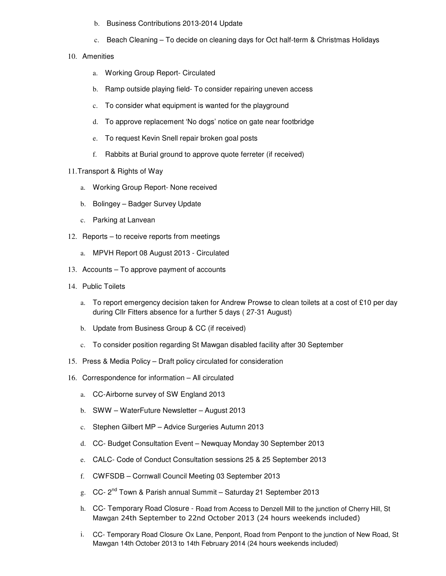- b. Business Contributions 2013-2014 Update
- c. Beach Cleaning To decide on cleaning days for Oct half-term & Christmas Holidays
- 10. Amenities
	- a. Working Group Report- Circulated
	- b. Ramp outside playing field- To consider repairing uneven access
	- c. To consider what equipment is wanted for the playground
	- d. To approve replacement 'No dogs' notice on gate near footbridge
	- e. To request Kevin Snell repair broken goal posts
	- f. Rabbits at Burial ground to approve quote ferreter (if received)
- 11. Transport & Rights of Way
	- a. Working Group Report- None received
	- b. Bolingey Badger Survey Update
	- c. Parking at Lanvean
- 12. Reports to receive reports from meetings
	- a. MPVH Report 08 August 2013 Circulated
- 13. Accounts To approve payment of accounts
- 14. Public Toilets
	- a. To report emergency decision taken for Andrew Prowse to clean toilets at a cost of £10 per day during Cllr Fitters absence for a further 5 days ( 27-31 August)
	- b. Update from Business Group & CC (if received)
	- c. To consider position regarding St Mawgan disabled facility after 30 September
- 15. Press & Media Policy Draft policy circulated for consideration
- 16. Correspondence for information All circulated
	- a. CC-Airborne survey of SW England 2013
	- b. SWW WaterFuture Newsletter August 2013
	- c. Stephen Gilbert MP Advice Surgeries Autumn 2013
	- d. CC- Budget Consultation Event Newquay Monday 30 September 2013
	- e. CALC- Code of Conduct Consultation sessions 25 & 25 September 2013
	- f. CWFSDB Cornwall Council Meeting 03 September 2013
	- g. CC- 2<sup>nd</sup> Town & Parish annual Summit Saturday 21 September 2013
	- h. CC- Temporary Road Closure Road from Access to Denzell Mill to the junction of Cherry Hill, St Mawgan 24th September to 22nd October 2013 (24 hours weekends included)
	- i. CC- Temporary Road Closure Ox Lane, Penpont, Road from Penpont to the junction of New Road, St Mawgan 14th October 2013 to 14th February 2014 (24 hours weekends included)